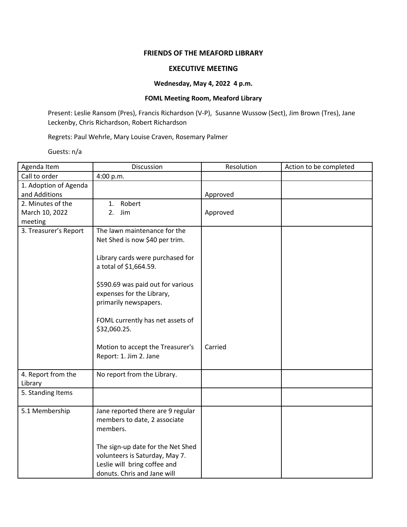## **FRIENDS OF THE MEAFORD LIBRARY**

## **EXECUTIVE MEETING**

## **Wednesday, May 4, 2022 4 p.m.**

## **FOML Meeting Room, Meaford Library**

Present: Leslie Ransom (Pres), Francis Richardson (V-P), Susanne Wussow (Sect), Jim Brown (Tres), Jane Leckenby, Chris Richardson, Robert Richardson

Regrets: Paul Wehrle, Mary Louise Craven, Rosemary Palmer

Guests: n/a

| Agenda Item           | Discussion                                                     | Resolution | Action to be completed |
|-----------------------|----------------------------------------------------------------|------------|------------------------|
| Call to order         | 4:00 p.m.                                                      |            |                        |
| 1. Adoption of Agenda |                                                                |            |                        |
| and Additions         |                                                                | Approved   |                        |
| 2. Minutes of the     | 1. Robert                                                      |            |                        |
| March 10, 2022        | Jim<br>2.                                                      | Approved   |                        |
| meeting               |                                                                |            |                        |
| 3. Treasurer's Report | The lawn maintenance for the                                   |            |                        |
|                       | Net Shed is now \$40 per trim.                                 |            |                        |
|                       |                                                                |            |                        |
|                       | Library cards were purchased for                               |            |                        |
|                       | a total of \$1,664.59.                                         |            |                        |
|                       |                                                                |            |                        |
|                       | \$590.69 was paid out for various<br>expenses for the Library, |            |                        |
|                       | primarily newspapers.                                          |            |                        |
|                       |                                                                |            |                        |
|                       | FOML currently has net assets of                               |            |                        |
|                       | \$32,060.25.                                                   |            |                        |
|                       |                                                                |            |                        |
|                       | Motion to accept the Treasurer's                               | Carried    |                        |
|                       | Report: 1. Jim 2. Jane                                         |            |                        |
|                       |                                                                |            |                        |
| 4. Report from the    | No report from the Library.                                    |            |                        |
| Library               |                                                                |            |                        |
| 5. Standing Items     |                                                                |            |                        |
|                       |                                                                |            |                        |
| 5.1 Membership        | Jane reported there are 9 regular                              |            |                        |
|                       | members to date, 2 associate                                   |            |                        |
|                       | members.                                                       |            |                        |
|                       |                                                                |            |                        |
|                       | The sign-up date for the Net Shed                              |            |                        |
|                       | volunteers is Saturday, May 7.                                 |            |                        |
|                       | Leslie will bring coffee and                                   |            |                        |
|                       | donuts. Chris and Jane will                                    |            |                        |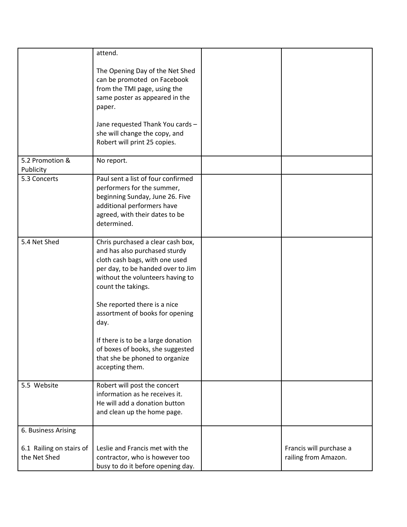|                                          | attend.                                                                                                                                                                                                         |                                                 |
|------------------------------------------|-----------------------------------------------------------------------------------------------------------------------------------------------------------------------------------------------------------------|-------------------------------------------------|
|                                          | The Opening Day of the Net Shed<br>can be promoted on Facebook<br>from the TMI page, using the<br>same poster as appeared in the<br>paper.<br>Jane requested Thank You cards -<br>she will change the copy, and |                                                 |
|                                          | Robert will print 25 copies.                                                                                                                                                                                    |                                                 |
| 5.2 Promotion &<br>Publicity             | No report.                                                                                                                                                                                                      |                                                 |
| 5.3 Concerts                             | Paul sent a list of four confirmed<br>performers for the summer,<br>beginning Sunday, June 26. Five<br>additional performers have<br>agreed, with their dates to be<br>determined.                              |                                                 |
| 5.4 Net Shed                             | Chris purchased a clear cash box,<br>and has also purchased sturdy<br>cloth cash bags, with one used<br>per day, to be handed over to Jim<br>without the volunteers having to<br>count the takings.             |                                                 |
|                                          | She reported there is a nice<br>assortment of books for opening<br>day.                                                                                                                                         |                                                 |
|                                          | If there is to be a large donation<br>of boxes of books, she suggested<br>that she be phoned to organize<br>accepting them.                                                                                     |                                                 |
| 5.5 Website                              | Robert will post the concert<br>information as he receives it.<br>He will add a donation button<br>and clean up the home page.                                                                                  |                                                 |
| 6. Business Arising                      |                                                                                                                                                                                                                 |                                                 |
| 6.1 Railing on stairs of<br>the Net Shed | Leslie and Francis met with the<br>contractor, who is however too<br>busy to do it before opening day.                                                                                                          | Francis will purchase a<br>railing from Amazon. |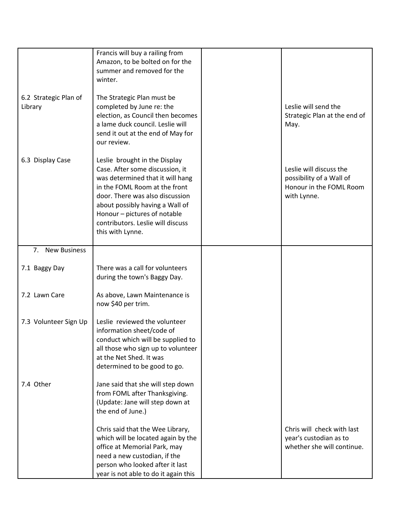|                                  | Francis will buy a railing from<br>Amazon, to be bolted on for the<br>summer and removed for the                                                                                                                                                                                                     |                                                                                               |
|----------------------------------|------------------------------------------------------------------------------------------------------------------------------------------------------------------------------------------------------------------------------------------------------------------------------------------------------|-----------------------------------------------------------------------------------------------|
|                                  | winter.                                                                                                                                                                                                                                                                                              |                                                                                               |
| 6.2 Strategic Plan of<br>Library | The Strategic Plan must be<br>completed by June re: the<br>election, as Council then becomes<br>a lame duck council. Leslie will<br>send it out at the end of May for<br>our review.                                                                                                                 | Leslie will send the<br>Strategic Plan at the end of<br>May.                                  |
| 6.3 Display Case                 | Leslie brought in the Display<br>Case. After some discussion, it<br>was determined that it will hang<br>in the FOML Room at the front<br>door. There was also discussion<br>about possibly having a Wall of<br>Honour - pictures of notable<br>contributors. Leslie will discuss<br>this with Lynne. | Leslie will discuss the<br>possibility of a Wall of<br>Honour in the FOML Room<br>with Lynne. |
| 7. New Business                  |                                                                                                                                                                                                                                                                                                      |                                                                                               |
| 7.1 Baggy Day                    | There was a call for volunteers<br>during the town's Baggy Day.                                                                                                                                                                                                                                      |                                                                                               |
| 7.2 Lawn Care                    | As above, Lawn Maintenance is<br>now \$40 per trim.                                                                                                                                                                                                                                                  |                                                                                               |
| 7.3 Volunteer Sign Up            | Leslie reviewed the volunteer<br>information sheet/code of<br>conduct which will be supplied to<br>all those who sign up to volunteer<br>at the Net Shed. It was<br>determined to be good to go.                                                                                                     |                                                                                               |
| 7.4 Other                        | Jane said that she will step down<br>from FOML after Thanksgiving.<br>(Update: Jane will step down at<br>the end of June.)                                                                                                                                                                           |                                                                                               |
|                                  | Chris said that the Wee Library,<br>which will be located again by the<br>office at Memorial Park, may<br>need a new custodian, if the<br>person who looked after it last<br>year is not able to do it again this                                                                                    | Chris will check with last<br>year's custodian as to<br>whether she will continue.            |